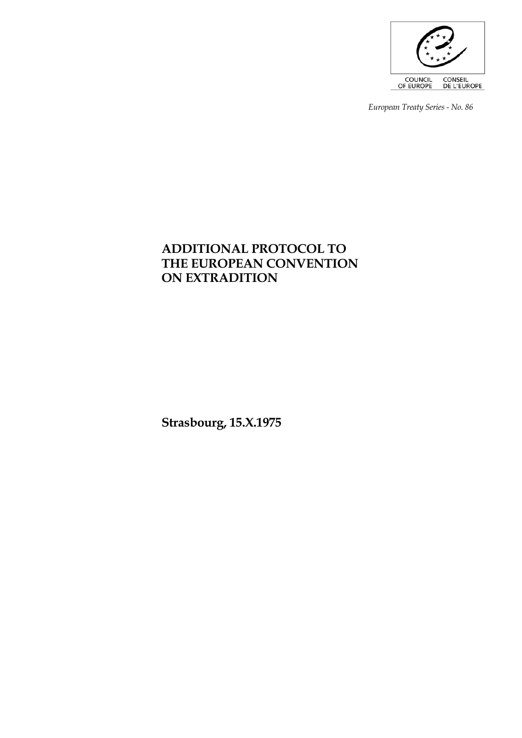

*European Treaty Series - No. 86* 

# **ADDITIONAL PROTOCOL TO THE EUROPEAN CONVENTION ON EXTRADITION**

**Strasbourg, 15.X.1975**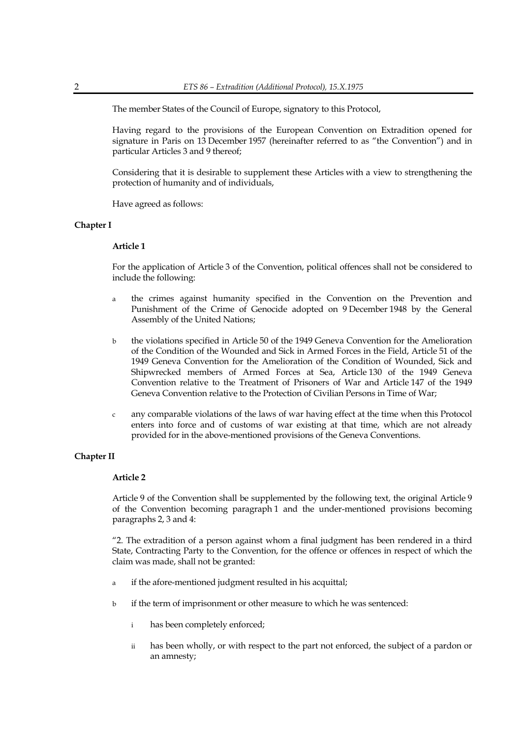The member States of the Council of Europe, signatory to this Protocol,

 Having regard to the provisions of the European Convention on Extradition opened for signature in Paris on 13 December 1957 (hereinafter referred to as "the Convention") and in particular Articles 3 and 9 thereof;

 Considering that it is desirable to supplement these Articles with a view to strengthening the protection of humanity and of individuals,

Have agreed as follows:

# **Chapter I**

#### **Article 1**

 For the application of Article 3 of the Convention, political offences shall not be considered to include the following:

- a the crimes against humanity specified in the Convention on the Prevention and Punishment of the Crime of Genocide adopted on 9 December 1948 by the General Assembly of the United Nations;
- b the violations specified in Article 50 of the 1949 Geneva Convention for the Amelioration of the Condition of the Wounded and Sick in Armed Forces in the Field, Article 51 of the 1949 Geneva Convention for the Amelioration of the Condition of Wounded, Sick and Shipwrecked members of Armed Forces at Sea, Article 130 of the 1949 Geneva Convention relative to the Treatment of Prisoners of War and Article 147 of the 1949 Geneva Convention relative to the Protection of Civilian Persons in Time of War;
- c any comparable violations of the laws of war having effect at the time when this Protocol enters into force and of customs of war existing at that time, which are not already provided for in the above-mentioned provisions of the Geneva Conventions.

# **Chapter II**

## **Article 2**

 Article 9 of the Convention shall be supplemented by the following text, the original Article 9 of the Convention becoming paragraph 1 and the under-mentioned provisions becoming paragraphs 2, 3 and 4:

 "2. The extradition of a person against whom a final judgment has been rendered in a third State, Contracting Party to the Convention, for the offence or offences in respect of which the claim was made, shall not be granted:

- a if the afore-mentioned judgment resulted in his acquittal;
- b if the term of imprisonment or other measure to which he was sentenced:
	- i has been completely enforced;
	- ii has been wholly, or with respect to the part not enforced, the subject of a pardon or an amnesty;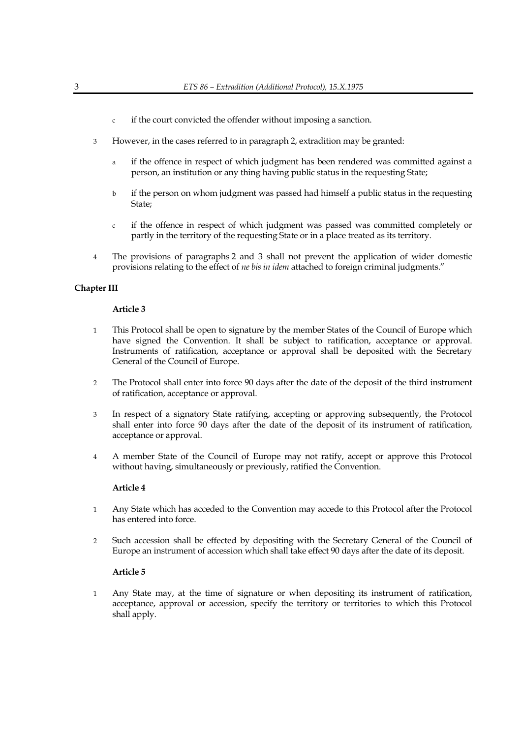- c if the court convicted the offender without imposing a sanction.
- 3 However, in the cases referred to in paragraph 2, extradition may be granted:
	- a if the offence in respect of which judgment has been rendered was committed against a person, an institution or any thing having public status in the requesting State;
	- b if the person on whom judgment was passed had himself a public status in the requesting State;
	- c if the offence in respect of which judgment was passed was committed completely or partly in the territory of the requesting State or in a place treated as its territory.
- 4 The provisions of paragraphs 2 and 3 shall not prevent the application of wider domestic provisions relating to the effect of *ne bis in idem* attached to foreign criminal judgments."

# **Chapter III**

#### **Article 3**

- 1 This Protocol shall be open to signature by the member States of the Council of Europe which have signed the Convention. It shall be subject to ratification, acceptance or approval. Instruments of ratification, acceptance or approval shall be deposited with the Secretary General of the Council of Europe.
- 2 The Protocol shall enter into force 90 days after the date of the deposit of the third instrument of ratification, acceptance or approval.
- 3 In respect of a signatory State ratifying, accepting or approving subsequently, the Protocol shall enter into force 90 days after the date of the deposit of its instrument of ratification, acceptance or approval.
- 4 A member State of the Council of Europe may not ratify, accept or approve this Protocol without having, simultaneously or previously, ratified the Convention.

#### **Article 4**

- 1 Any State which has acceded to the Convention may accede to this Protocol after the Protocol has entered into force.
- 2 Such accession shall be effected by depositing with the Secretary General of the Council of Europe an instrument of accession which shall take effect 90 days after the date of its deposit.

# **Article 5**

 1 Any State may, at the time of signature or when depositing its instrument of ratification, acceptance, approval or accession, specify the territory or territories to which this Protocol shall apply.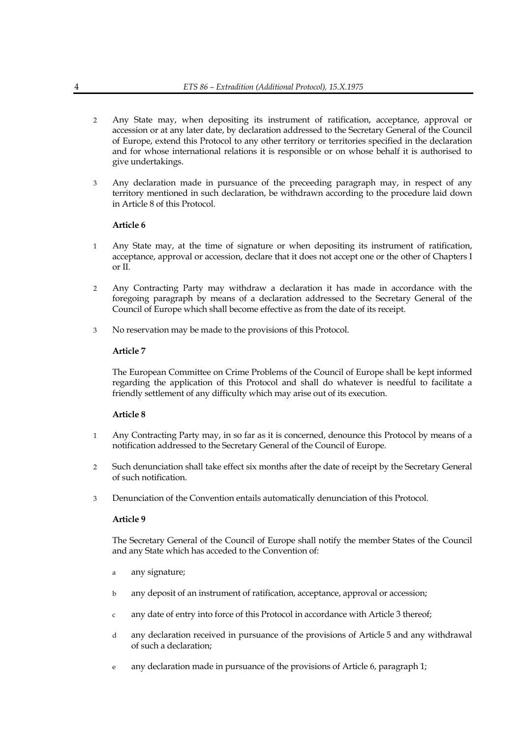- 2 Any State may, when depositing its instrument of ratification, acceptance, approval or accession or at any later date, by declaration addressed to the Secretary General of the Council of Europe, extend this Protocol to any other territory or territories specified in the declaration and for whose international relations it is responsible or on whose behalf it is authorised to give undertakings.
- 3 Any declaration made in pursuance of the preceeding paragraph may, in respect of any territory mentioned in such declaration, be withdrawn according to the procedure laid down in Article 8 of this Protocol.

# **Article 6**

- 1 Any State may, at the time of signature or when depositing its instrument of ratification, acceptance, approval or accession, declare that it does not accept one or the other of Chapters I or II.
- 2 Any Contracting Party may withdraw a declaration it has made in accordance with the foregoing paragraph by means of a declaration addressed to the Secretary General of the Council of Europe which shall become effective as from the date of its receipt.
- 3 No reservation may be made to the provisions of this Protocol.

# **Article 7**

 The European Committee on Crime Problems of the Council of Europe shall be kept informed regarding the application of this Protocol and shall do whatever is needful to facilitate a friendly settlement of any difficulty which may arise out of its execution.

# **Article 8**

- 1 Any Contracting Party may, in so far as it is concerned, denounce this Protocol by means of a notification addressed to the Secretary General of the Council of Europe.
- 2 Such denunciation shall take effect six months after the date of receipt by the Secretary General of such notification.
- 3 Denunciation of the Convention entails automatically denunciation of this Protocol.

# **Article 9**

 The Secretary General of the Council of Europe shall notify the member States of the Council and any State which has acceded to the Convention of:

- a any signature;
- b any deposit of an instrument of ratification, acceptance, approval or accession;
- any date of entry into force of this Protocol in accordance with Article 3 thereof;
- d any declaration received in pursuance of the provisions of Article 5 and any withdrawal of such a declaration;
- e any declaration made in pursuance of the provisions of Article 6, paragraph 1;